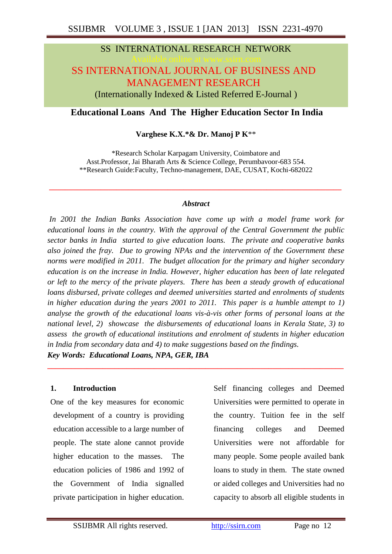## SS INTERNATIONAL RESEARCH NETWORK

# SS INTERNATIONAL JOURNAL OF BUSINESS AND MANAGEMENT RESEARCH

(Internationally Indexed & Listed Referred E-Journal )

## **Educational Loans And The Higher Education Sector In India**

#### **Varghese K.X.\*& Dr. Manoj P K**\*\*

\*Research Scholar Karpagam University, Coimbatore and Asst.Professor, Jai Bharath Arts & Science College, Perumbavoor-683 554. \*\*Research Guide:Faculty, Techno-management, DAE, CUSAT, Kochi-682022

#### *Abstract*

*\_\_\_\_\_\_\_\_\_\_\_\_\_\_\_\_\_\_\_\_\_\_\_\_\_\_\_\_\_\_\_\_\_\_\_\_\_\_\_\_\_\_\_\_\_\_\_\_\_\_\_\_\_\_\_\_\_\_\_\_\_\_\_\_\_\_\_\_\_\_\_\_\_\_*

*In 2001 the Indian Banks Association have come up with a model frame work for educational loans in the country. With the approval of the Central Government the public sector banks in India started to give education loans. The private and cooperative banks also joined the fray. Due to growing NPAs and the intervention of the Government these norms were modified in 2011. The budget allocation for the primary and higher secondary education is on the increase in India. However, higher education has been of late relegated or left to the mercy of the private players. There has been a steady growth of educational loans disbursed, private colleges and deemed universities started and enrolments of students in higher education during the years 2001 to 2011. This paper is a humble attempt to 1) analyse the growth of the educational loans vis-à-vis other forms of personal loans at the national level, 2) showcase the disbursements of educational loans in Kerala State, 3) to assess the growth of educational institutions and enrolment of students in higher education in India from secondary data and 4) to make suggestions based on the findings. Key Words: Educational Loans, NPA, GER, IBA*

**\_\_\_\_\_\_\_\_\_\_\_\_\_\_\_\_\_\_\_\_\_\_\_\_\_\_\_\_\_\_\_\_\_\_\_\_\_\_\_\_\_\_\_\_\_\_\_\_\_\_\_\_\_\_\_\_\_\_\_\_\_\_\_\_\_\_\_\_\_\_\_\_\_\_\_**

#### **1. Introduction**

One of the key measures for economic development of a country is providing education accessible to a large number of people. The state alone cannot provide higher education to the masses. The education policies of 1986 and 1992 of the Government of India signalled private participation in higher education.

Self financing colleges and Deemed Universities were permitted to operate in the country. Tuition fee in the self financing colleges and Deemed Universities were not affordable for many people. Some people availed bank loans to study in them. The state owned or aided colleges and Universities had no capacity to absorb all eligible students in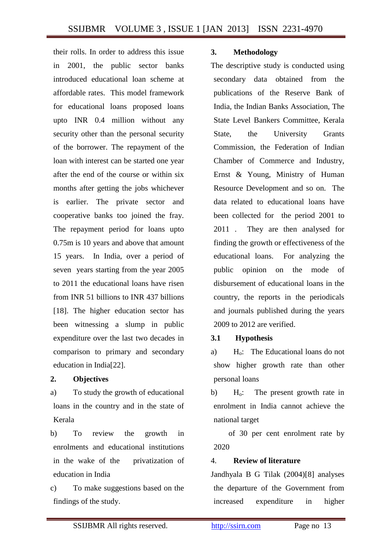their rolls. In order to address this issue in 2001, the public sector banks introduced educational loan scheme at affordable rates. This model framework for educational loans proposed loans upto INR 0.4 million without any security other than the personal security of the borrower. The repayment of the loan with interest can be started one year after the end of the course or within six months after getting the jobs whichever is earlier. The private sector and cooperative banks too joined the fray. The repayment period for loans upto 0.75m is 10 years and above that amount 15 years. In India, over a period of seven years starting from the year 2005 to 2011 the educational loans have risen from INR 51 billions to INR 437 billions [18]. The higher education sector has been witnessing a slump in public expenditure over the last two decades in comparison to primary and secondary education in India[22].

## **2. Objectives**

a) To study the growth of educational loans in the country and in the state of Kerala

b) To review the growth in enrolments and educational institutions in the wake of the privatization of education in India

c) To make suggestions based on the findings of the study.

## **3. Methodology**

The descriptive study is conducted using secondary data obtained from the publications of the Reserve Bank of India, the Indian Banks Association, The State Level Bankers Committee, Kerala State, the University Grants Commission, the Federation of Indian Chamber of Commerce and Industry, Ernst & Young, Ministry of Human Resource Development and so on. The data related to educational loans have been collected for the period 2001 to 2011 . They are then analysed for finding the growth or effectiveness of the educational loans. For analyzing the public opinion on the mode of disbursement of educational loans in the country, the reports in the periodicals and journals published during the years 2009 to 2012 are verified.

## **3.1 Hypothesis**

a) H<sub>o</sub>: The Educational loans do not show higher growth rate than other personal loans

b) H<sub>o</sub>: The present growth rate in enrolment in India cannot achieve the national target

 of 30 per cent enrolment rate by 2020

## 4. **Review of literature**

Jandhyala B G Tilak (2004)[8] analyses the departure of the Government from increased expenditure in higher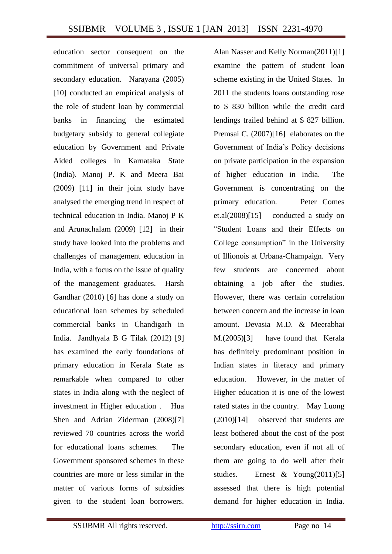education sector consequent on the commitment of universal primary and secondary education. Narayana (2005) [10] conducted an empirical analysis of the role of student loan by commercial banks in financing the estimated budgetary subsidy to general collegiate education by Government and Private Aided colleges in Karnataka State (India). Manoj P. K and Meera Bai (2009) [11] in their joint study have analysed the emerging trend in respect of technical education in India. Manoj P K and Arunachalam (2009) [12] in their study have looked into the problems and challenges of management education in India, with a focus on the issue of quality of the management graduates. Harsh Gandhar (2010) [6] has done a study on educational loan schemes by scheduled commercial banks in Chandigarh in India. Jandhyala B G Tilak (2012) [9] has examined the early foundations of primary education in Kerala State as remarkable when compared to other states in India along with the neglect of investment in Higher education . Hua Shen and Adrian Ziderman (2008)[7] reviewed 70 countries across the world for educational loans schemes. The Government sponsored schemes in these countries are more or less similar in the matter of various forms of subsidies given to the student loan borrowers.

Alan Nasser and Kelly Norman(2011)[1] examine the pattern of student loan scheme existing in the United States. In 2011 the students loans outstanding rose to \$ 830 billion while the credit card lendings trailed behind at \$ 827 billion. Premsai C. (2007)[16] elaborates on the Government of India's Policy decisions on private participation in the expansion of higher education in India. The Government is concentrating on the primary education. Peter Comes et.al(2008)[15] conducted a study on "Student Loans and their Effects on College consumption" in the University of Illionois at Urbana-Champaign. Very few students are concerned about obtaining a job after the studies. However, there was certain correlation between concern and the increase in loan amount. Devasia M.D. & Meerabhai M.(2005)[3] have found that Kerala has definitely predominant position in Indian states in literacy and primary education. However, in the matter of Higher education it is one of the lowest rated states in the country. May Luong (2010)[14] observed that students are least bothered about the cost of the post secondary education, even if not all of them are going to do well after their studies. Ernest & Young(2011)[5] assessed that there is high potential demand for higher education in India.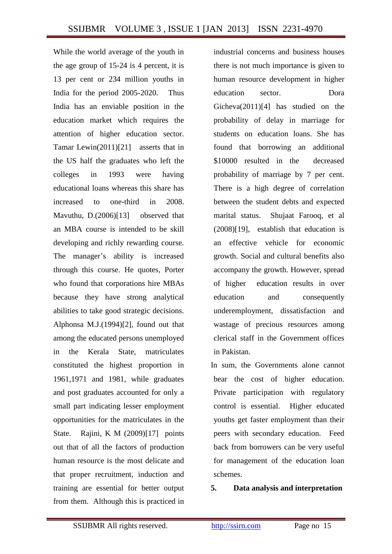While the world average of the youth in the age group of 15-24 is 4 percent, it is 13 per cent or 234 million youths in India for the period 2005-2020. Thus India has an enviable position in the education market which requires the attention of higher education sector. Tamar Lewin(2011)[21] asserts that in the US half the graduates who left the colleges in 1993 were having educational loans whereas this share has increased to one-third in 2008. Mavuthu, D.(2006)[13] observed that an MBA course is intended to be skill developing and richly rewarding course. The manager's ability is increased through this course. He quotes, Porter who found that corporations hire MBAs because they have strong analytical abilities to take good strategic decisions. Alphonsa M.J.(1994)[2], found out that among the educated persons unemployed in the Kerala State, matriculates constituted the highest proportion in 1961,1971 and 1981, while graduates and post graduates accounted for only a small part indicating lesser employment opportunities for the matriculates in the State. Rajini, K M (2009)[17] points out that of all the factors of production human resource is the most delicate and that proper recruitment, induction and training are essential for better output from them. Although this is practiced in

industrial concerns and business houses there is not much importance is given to human resource development in higher education sector. Dora Gicheva(2011)[4] has studied on the probability of delay in marriage for students on education loans. She has found that borrowing an additional \$10000 resulted in the decreased probability of marriage by 7 per cent. There is a high degree of correlation between the student debts and expected marital status. Shujaat Farooq, et al (2008)[19], establish that education is an effective vehicle for economic growth. Social and cultural benefits also accompany the growth. However, spread of higher education results in over education and consequently underemployment, dissatisfaction and wastage of precious resources among clerical staff in the Government offices in Pakistan.

In sum, the Governments alone cannot bear the cost of higher education. Private participation with regulatory control is essential. Higher educated youths get faster employment than their peers with secondary education. Feed back from borrowers can be very useful for management of the education loan schemes.

#### **5. Data analysis and interpretation**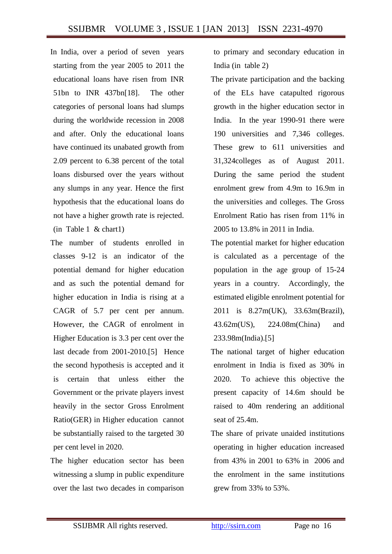In India, over a period of seven years starting from the year 2005 to 2011 the educational loans have risen from INR 51bn to INR 437bn[18]. The other categories of personal loans had slumps during the worldwide recession in 2008 and after. Only the educational loans have continued its unabated growth from 2.09 percent to 6.38 percent of the total loans disbursed over the years without any slumps in any year. Hence the first hypothesis that the educational loans do not have a higher growth rate is rejected. (in Table 1 & chart1)

- The number of students enrolled in classes 9-12 is an indicator of the potential demand for higher education and as such the potential demand for higher education in India is rising at a CAGR of 5.7 per cent per annum. However, the CAGR of enrolment in Higher Education is 3.3 per cent over the last decade from 2001-2010.[5] Hence the second hypothesis is accepted and it is certain that unless either the Government or the private players invest heavily in the sector Gross Enrolment Ratio(GER) in Higher education cannot be substantially raised to the targeted 30 per cent level in 2020.
- The higher education sector has been witnessing a slump in public expenditure over the last two decades in comparison

to primary and secondary education in India (in table 2)

- The private participation and the backing of the ELs have catapulted rigorous growth in the higher education sector in India. In the year 1990-91 there were 190 universities and 7,346 colleges. These grew to 611 universities and 31,324colleges as of August 2011. During the same period the student enrolment grew from 4.9m to 16.9m in the universities and colleges. The Gross Enrolment Ratio has risen from 11% in 2005 to 13.8% in 2011 in India.
- The potential market for higher education is calculated as a percentage of the population in the age group of 15-24 years in a country. Accordingly, the estimated eligible enrolment potential for 2011 is 8.27m(UK), 33.63m(Brazil), 43.62m(US), 224.08m(China) and 233.98m(India).[5]
- The national target of higher education enrolment in India is fixed as 30% in 2020. To achieve this objective the present capacity of 14.6m should be raised to 40m rendering an additional seat of 25.4m.
- The share of private unaided institutions operating in higher education increased from 43% in 2001 to 63% in 2006 and the enrolment in the same institutions grew from 33% to 53%.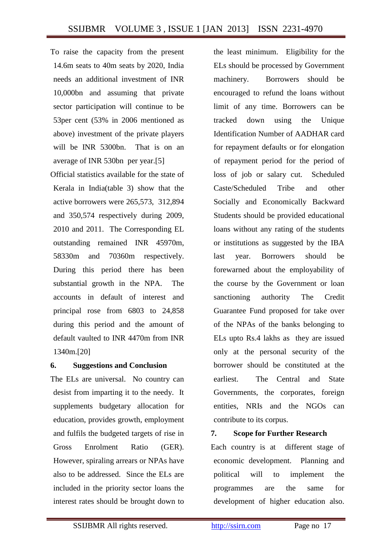To raise the capacity from the present 14.6m seats to 40m seats by 2020, India needs an additional investment of INR 10,000bn and assuming that private sector participation will continue to be 53per cent (53% in 2006 mentioned as above) investment of the private players will be INR 5300bn. That is on an average of INR 530bn per year.[5]

Official statistics available for the state of Kerala in India(table 3) show that the active borrowers were 265,573, 312,894 and 350,574 respectively during 2009, 2010 and 2011. The Corresponding EL outstanding remained INR 45970m, 58330m and 70360m respectively. During this period there has been substantial growth in the NPA. The accounts in default of interest and principal rose from 6803 to 24,858 during this period and the amount of default vaulted to INR 4470m from INR 1340m.[20]

## **6. Suggestions and Conclusion**

The ELs are universal. No country can desist from imparting it to the needy. It supplements budgetary allocation for education, provides growth, employment and fulfils the budgeted targets of rise in Gross Enrolment Ratio (GER). However, spiraling arrears or NPAs have also to be addressed. Since the ELs are included in the priority sector loans the interest rates should be brought down to

the least minimum. Eligibility for the ELs should be processed by Government machinery. Borrowers should be encouraged to refund the loans without limit of any time. Borrowers can be tracked down using the Unique Identification Number of AADHAR card for repayment defaults or for elongation of repayment period for the period of loss of job or salary cut. Scheduled Caste/Scheduled Tribe and other Socially and Economically Backward Students should be provided educational loans without any rating of the students or institutions as suggested by the IBA last year. Borrowers should be forewarned about the employability of the course by the Government or loan sanctioning authority The Credit Guarantee Fund proposed for take over of the NPAs of the banks belonging to ELs upto Rs.4 lakhs as they are issued only at the personal security of the borrower should be constituted at the earliest. The Central and State Governments, the corporates, foreign entities, NRIs and the NGOs can contribute to its corpus.

## **7. Scope for Further Research**

Each country is at different stage of economic development. Planning and political will to implement the programmes are the same for development of higher education also.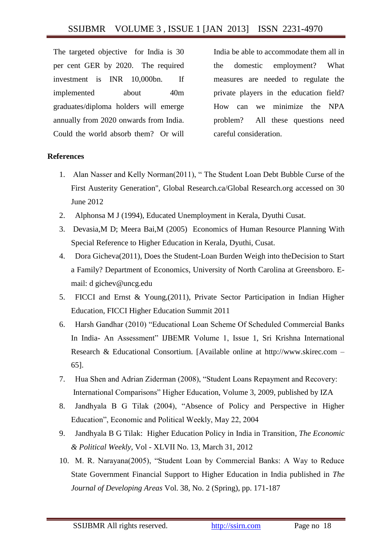The targeted objective for India is 30 per cent GER by 2020. The required investment is INR 10,000bn. If implemented about 40m graduates/diploma holders will emerge annually from 2020 onwards from India. Could the world absorb them? Or will

India be able to accommodate them all in the domestic employment? What measures are needed to regulate the private players in the education field? How can we minimize the NPA problem? All these questions need careful consideration.

## **References**

- 1. Alan Nasser and Kelly Norman(2011), " The Student Loan Debt Bubble Curse of the First Austerity Generation", Global Research.ca/Global Research.org accessed on 30 June 2012
- 2. Alphonsa M J (1994), Educated Unemployment in Kerala, Dyuthi Cusat.
- 3. Devasia,M D; Meera Bai,M (2005) Economics of Human Resource Planning With Special Reference to Higher Education in Kerala, Dyuthi, Cusat.
- 4. Dora Gicheva(2011), Does the Student-Loan Burden Weigh into theDecision to Start a Family? Department of Economics, University of North Carolina at Greensboro. Email: d gichev@uncg.edu
- 5. FICCI and Ernst & Young,(2011), Private Sector Participation in Indian Higher Education, FICCI Higher Education Summit 2011
- 6. Harsh Gandhar (2010) "Educational Loan Scheme Of Scheduled Commercial Banks In India- An Assessment" IJBEMR Volume 1, Issue 1, Sri Krishna International Research & Educational Consortium. [Available online at http://www.skirec.com – 65].
- 7. Hua Shen and Adrian Ziderman (2008), "Student Loans Repayment and Recovery: International Comparisons" Higher Education, Volume 3, 2009, published by IZA
- 8. Jandhyala B G Tilak (2004), "Absence of Policy and Perspective in Higher Education", Economic and Political Weekly, May 22, 2004
- 9. Jandhyala B G Tilak: [Higher Education Policy in India in Transition,](http://www.epw.in/perspectives/higher-education-policy-india-transition.html) *The Economic & Political Weekly*, Vol - XLVII No. 13, March 31, 2012
- 10. M. R. Narayana(2005), "Student Loan by Commercial Banks: A Way to Reduce State Government Financial Support to Higher Education in India published in *The Journal of Developing Areas* Vol. 38, No. 2 (Spring), pp. 171-187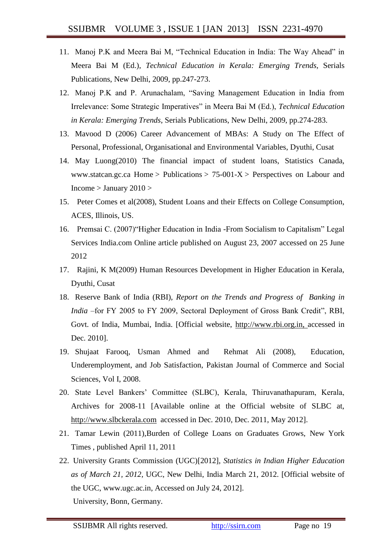- 11. Manoj P.K and Meera Bai M, "Technical Education in India: The Way Ahead" in Meera Bai M (Ed.), *Technical Education in Kerala: Emerging Trends*, Serials Publications, New Delhi, 2009, pp.247-273.
- 12. Manoj P.K and P. Arunachalam, "Saving Management Education in India from Irrelevance: Some Strategic Imperatives" in Meera Bai M (Ed.), *Technical Education in Kerala: Emerging Trends*, Serials Publications, New Delhi, 2009, pp.274-283.
- 13. Mavood D (2006) Career Advancement of MBAs: A Study on The Effect of Personal, Professional, Organisational and Environmental Variables, Dyuthi, Cusat
- 14. May Luong(2010) The financial impact of student loans, Statistics Canada, [www.statcan.gc.ca](http://www.statcan.gc.ca/) [Home](http://www.statcan.gc.ca/start-debut-eng.html) > [Publications](http://cansim2.statcan.gc.ca/cgi-win/cnsmcgi.pgm?Lang=E&AS_Action=Find-Recherche&Res-Ins=Stu-Etu/Pub6&AS_Univ=6&AS_Mode=2) >  $75{\text -}001{\text -}X$  > Perspectives on Labour and  $Income > January 2010 >$  $Income > January 2010 >$  $Income > January 2010 >$  $Income > January 2010 >$
- 15. Peter Comes et al(2008), Student Loans and their Effects on College Consumption, ACES, Illinois, US.
- 16. Premsai C. (2007)"Higher Education in India -From Socialism to Capitalism" Legal Services India.com Online article published on August 23, 2007 accessed on 25 June 2012
- 17. Rajini, K M(2009) Human Resources Development in Higher Education in Kerala, Dyuthi, Cusat
- 18. Reserve Bank of India (RBI), *Report on the Trends and Progress of Banking in India* –for FY 2005 to FY 2009, Sectoral Deployment of Gross Bank Credit", RBI, Govt. of India, Mumbai, India. [Official website, [http://www.rbi.org.in, a](http://www.rbi.org.in/home.aspx)ccessed in Dec. 2010].
- 19. Shujaat Farooq, Usman Ahmed and Rehmat Ali (2008), Education, Underemployment, and Job Satisfaction, Pakistan Journal of Commerce and Social Sciences, Vol I, 2008.
- 20. State Level Bankers' Committee (SLBC), Kerala, Thiruvanathapuram, Kerala, Archives for 2008-11 [Available online at the Official website of SLBC at, [http://www.slbckerala.com](http://www.slbckerala.com/) accessed in Dec. 2010, Dec. 2011, May 2012].
- 21. Tamar Lewin (2011),Burden of College Loans on Graduates Grows, New York Times , published April 11, 2011
- 22. University Grants Commission (UGC)[2012], *Statistics in Indian Higher Education as of March 21, 2012*, UGC, New Delhi, India March 21, 2012. [Official website of the UGC, www.ugc.ac.in, Accessed on July 24, 2012]. University, Bonn, Germany.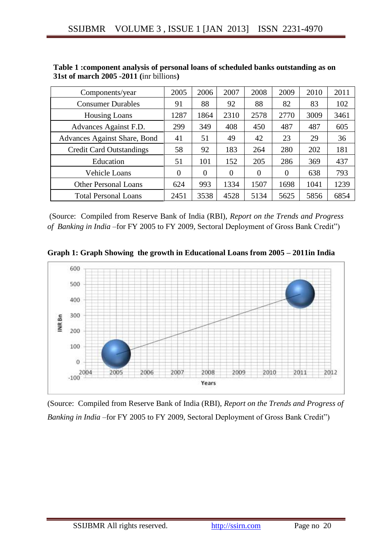| Components/year                     | 2005 | 2006     | 2007     | 2008     | 2009           | 2010 | 2011 |
|-------------------------------------|------|----------|----------|----------|----------------|------|------|
| <b>Consumer Durables</b>            | 91   | 88       | 92       | 88       | 82             | 83   | 102  |
| <b>Housing Loans</b>                | 1287 | 1864     | 2310     | 2578     | 2770           | 3009 | 3461 |
| Advances Against F.D.               | 299  | 349      | 408      | 450      | 487            | 487  | 605  |
| <b>Advances Against Share, Bond</b> | 41   | 51       | 49       | 42       | 23             | 29   | 36   |
| <b>Credit Card Outstandings</b>     | 58   | 92       | 183      | 264      | 280            | 202  | 181  |
| Education                           | 51   | 101      | 152      | 205      | 286            | 369  | 437  |
| Vehicle Loans                       | 0    | $\theta$ | $\theta$ | $\theta$ | $\overline{0}$ | 638  | 793  |
| <b>Other Personal Loans</b>         | 624  | 993      | 1334     | 1507     | 1698           | 1041 | 1239 |
| <b>Total Personal Loans</b>         | 2451 | 3538     | 4528     | 5134     | 5625           | 5856 | 6854 |

| Table 1: component analysis of personal loans of scheduled banks outstanding as on |
|------------------------------------------------------------------------------------|
| $31st$ of march $2005 - 2011$ (inr billions)                                       |

(Source: Compiled from Reserve Bank of India (RBI), *Report on the Trends and Progress of Banking in India* –for FY 2005 to FY 2009, Sectoral Deployment of Gross Bank Credit")





(Source: Compiled from Reserve Bank of India (RBI), *Report on the Trends and Progress of Banking in India* –for FY 2005 to FY 2009, Sectoral Deployment of Gross Bank Credit")